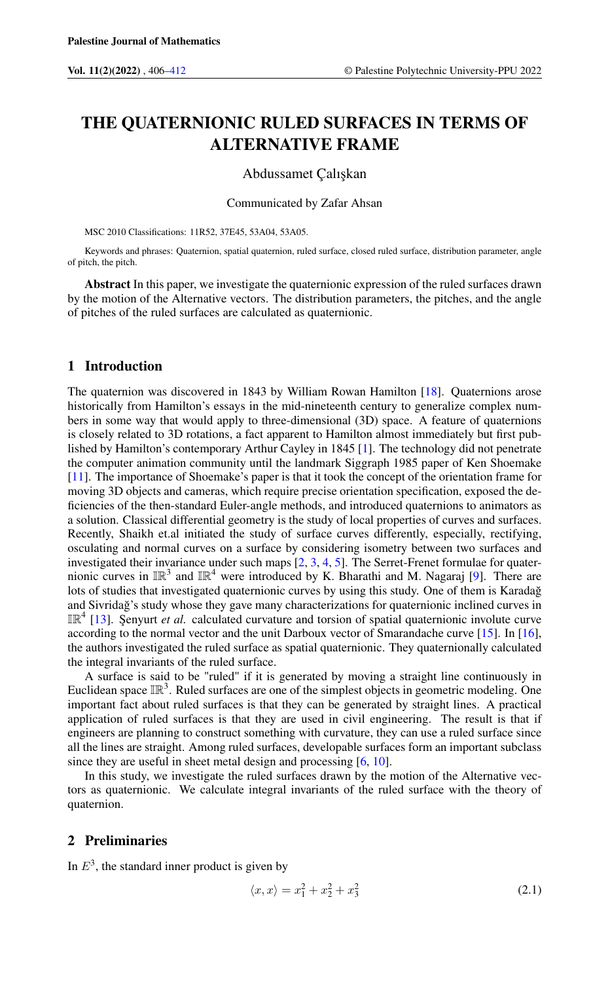# THE QUATERNIONIC RULED SURFACES IN TERMS OF ALTERNATIVE FRAME

## Abdussamet Çalı¸skan

#### Communicated by Zafar Ahsan

MSC 2010 Classifications: 11R52, 37E45, 53A04, 53A05.

Keywords and phrases: Quaternion, spatial quaternion, ruled surface, closed ruled surface, distribution parameter, angle of pitch, the pitch.

Abstract In this paper, we investigate the quaternionic expression of the ruled surfaces drawn by the motion of the Alternative vectors. The distribution parameters, the pitches, and the angle of pitches of the ruled surfaces are calculated as quaternionic.

## 1 Introduction

The quaternion was discovered in 1843 by William Rowan Hamilton [\[18\]](#page-6-1). Quaternions arose historically from Hamilton's essays in the mid-nineteenth century to generalize complex numbers in some way that would apply to three-dimensional (3D) space. A feature of quaternions is closely related to 3D rotations, a fact apparent to Hamilton almost immediately but first published by Hamilton's contemporary Arthur Cayley in 1845 [\[1\]](#page-6-2). The technology did not penetrate the computer animation community until the landmark Siggraph 1985 paper of Ken Shoemake [\[11\]](#page-6-3). The importance of Shoemake's paper is that it took the concept of the orientation frame for moving 3D objects and cameras, which require precise orientation specification, exposed the deficiencies of the then-standard Euler-angle methods, and introduced quaternions to animators as a solution. Classical differential geometry is the study of local properties of curves and surfaces. Recently, Shaikh et.al initiated the study of surface curves differently, especially, rectifying, osculating and normal curves on a surface by considering isometry between two surfaces and investigated their invariance under such maps [\[2,](#page-6-4) [3,](#page-6-5) [4,](#page-6-6) [5\]](#page-6-7). The Serret-Frenet formulae for quaternionic curves in  $\mathbb{IR}^3$  and  $\mathbb{IR}^4$  were introduced by K. Bharathi and M. Nagaraj [\[9\]](#page-6-8). There are lots of studies that investigated quaternionic curves by using this study. One of them is Karadağ and Sivridag's study whose they gave many characterizations for quaternionic inclined curves in IR<sup>4</sup> [\[13\]](#page-6-9). Şenyurt *et al.* calculated curvature and torsion of spatial quaternionic involute curve according to the normal vector and the unit Darboux vector of Smarandache curve [\[15\]](#page-6-10). In [\[16\]](#page-6-11), the authors investigated the ruled surface as spatial quaternionic. They quaternionally calculated the integral invariants of the ruled surface.

A surface is said to be "ruled" if it is generated by moving a straight line continuously in Euclidean space  $\mathbb{IR}^3$ . Ruled surfaces are one of the simplest objects in geometric modeling. One important fact about ruled surfaces is that they can be generated by straight lines. A practical application of ruled surfaces is that they are used in civil engineering. The result is that if engineers are planning to construct something with curvature, they can use a ruled surface since all the lines are straight. Among ruled surfaces, developable surfaces form an important subclass since they are useful in sheet metal design and processing [\[6,](#page-6-12) [10\]](#page-6-13).

In this study, we investigate the ruled surfaces drawn by the motion of the Alternative vectors as quaternionic. We calculate integral invariants of the ruled surface with the theory of quaternion.

# 2 Preliminaries

In  $E<sup>3</sup>$ , the standard inner product is given by

$$
\langle x, x \rangle = x_1^2 + x_2^2 + x_3^2 \tag{2.1}
$$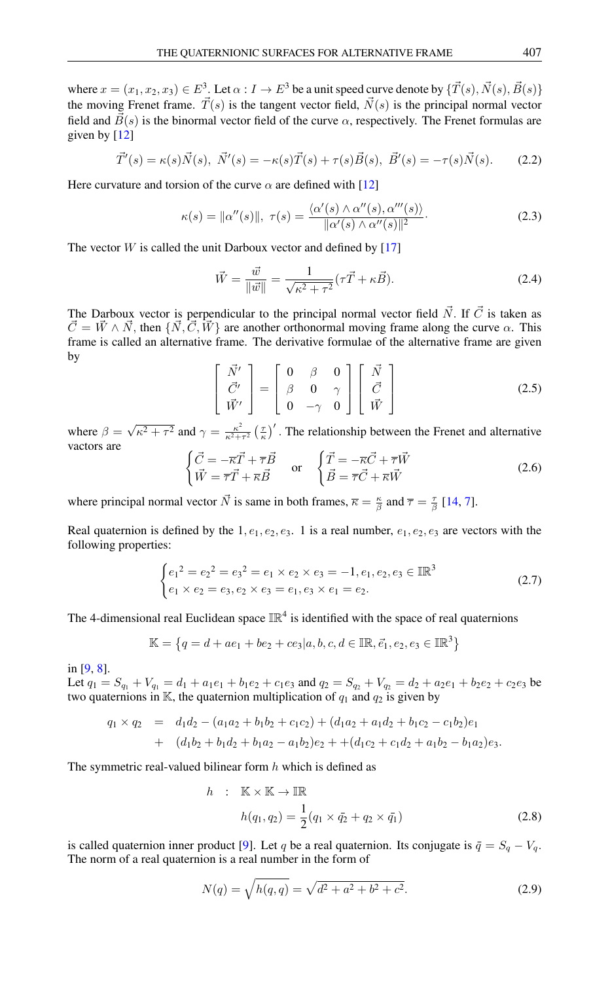where  $x = (x_1, x_2, x_3) \in E^3$ . Let  $\alpha: I \to E^3$  be a unit speed curve denote by  $\{\vec{T}(s), \vec{N}(s), \vec{B}(s)\}$ the moving Frenet frame.  $\vec{T}(s)$  is the tangent vector field,  $\vec{N}(s)$  is the principal normal vector field and  $\vec{B}(s)$  is the binormal vector field of the curve  $\alpha$ , respectively. The Frenet formulas are given by  $[12]$ 

$$
\vec{T}'(s) = \kappa(s)\vec{N}(s), \ \vec{N}'(s) = -\kappa(s)\vec{T}(s) + \tau(s)\vec{B}(s), \ \vec{B}'(s) = -\tau(s)\vec{N}(s). \tag{2.2}
$$

Here curvature and torsion of the curve  $\alpha$  are defined with [\[12\]](#page-6-14)

$$
\kappa(s) = \|\alpha''(s)\|, \ \tau(s) = \frac{\langle \alpha'(s) \wedge \alpha''(s), \alpha'''(s) \rangle}{\|\alpha'(s) \wedge \alpha''(s)\|^2}.
$$
\n(2.3)

The vector  $W$  is called the unit Darboux vector and defined by [\[17\]](#page-6-15)

$$
\vec{W} = \frac{\vec{w}}{\|\vec{w}\|} = \frac{1}{\sqrt{\kappa^2 + \tau^2}} (\tau \vec{T} + \kappa \vec{B}).
$$
\n(2.4)

<span id="page-1-0"></span>The Darboux vector is perpendicular to the principal normal vector field  $\vec{N}$ . If  $\vec{C}$  is taken as  $\vec{C} = \vec{W} \wedge \vec{N}$ , then  $\{\vec{N}, \vec{C}, \vec{W}\}$  are another orthonormal moving frame along the curve  $\alpha$ . This frame is called an alternative frame. The derivative formulae of the alternative frame are given by

$$
\begin{bmatrix}\n\vec{N}' \\
\vec{C}' \\
\vec{W}'\n\end{bmatrix} = \begin{bmatrix}\n0 & \beta & 0 \\
\beta & 0 & \gamma \\
0 & -\gamma & 0\n\end{bmatrix} \begin{bmatrix}\n\vec{N} \\
\vec{C} \\
\vec{W}\n\end{bmatrix}
$$
\n(2.5)

where  $\beta =$ √  $\sqrt{\kappa^2 + \tau^2}$  and  $\gamma = \frac{\kappa^2}{\kappa^2 + \tau^2}$  $\frac{\kappa^2}{\kappa^2+\tau^2} \left(\frac{\tau}{\kappa}\right)'$ . The relationship between the Frenet and alternative vactors are

$$
\begin{cases}\n\vec{C} = -\overline{\kappa}\vec{T} + \overline{\tau}\vec{B} & \text{or} \quad \begin{cases}\n\vec{T} = -\overline{\kappa}\vec{C} + \overline{\tau}\vec{W} \\
\vec{W} = \overline{\tau}\vec{T} + \overline{\kappa}\vec{B} & \text{or} \quad \end{cases}\n\end{cases}\n\begin{cases}\n\vec{T} = -\overline{\kappa}\vec{C} + \overline{\tau}\vec{W} \\
\vec{B} = \overline{\tau}\vec{C} + \overline{\kappa}\vec{W}\n\end{cases}
$$
\n(2.6)

where principal normal vector  $\vec{N}$  is same in both frames,  $\vec{\kappa} = \frac{\kappa}{\beta}$  and  $\vec{\tau} = \frac{\tau}{\beta}$  [\[14,](#page-6-16) [7\]](#page-6-17).

Real quaternion is defined by the 1,  $e_1, e_2, e_3$ . 1 is a real number,  $e_1, e_2, e_3$  are vectors with the following properties:

$$
\begin{cases} e_1^2 = e_2^2 = e_3^2 = e_1 \times e_2 \times e_3 = -1, e_1, e_2, e_3 \in \mathbb{IR}^3\\ e_1 \times e_2 = e_3, e_2 \times e_3 = e_1, e_3 \times e_1 = e_2. \end{cases}
$$
(2.7)

The 4-dimensional real Euclidean space  $\mathbb{IR}^4$  is identified with the space of real quaternions

$$
\mathbb{K} = \left\{ q = d + ae_1 + be_2 + ce_3 | a, b, c, d \in \mathbb{IR}, \vec{e_1}, e_2, e_3 \in \mathbb{IR}^3 \right\}
$$

in [\[9,](#page-6-8) [8\]](#page-6-18).

Let  $q_1 = S_{q_1} + V_{q_1} = d_1 + a_1 e_1 + b_1 e_2 + c_1 e_3$  and  $q_2 = S_{q_2} + V_{q_2} = d_2 + a_2 e_1 + b_2 e_2 + c_2 e_3$  be two quaternions in K, the quaternion multiplication of  $q_1$  and  $q_2$  is given by

$$
q_1 \times q_2 = d_1 d_2 - (a_1 a_2 + b_1 b_2 + c_1 c_2) + (d_1 a_2 + a_1 d_2 + b_1 c_2 - c_1 b_2) e_1
$$
  
+ 
$$
(d_1 b_2 + b_1 d_2 + b_1 a_2 - a_1 b_2) e_2 + (d_1 c_2 + c_1 d_2 + a_1 b_2 - b_1 a_2) e_3.
$$

The symmetric real-valued bilinear form  $h$  which is defined as

$$
h : \mathbb{K} \times \mathbb{K} \to \mathbb{IR}
$$
  

$$
h(q_1, q_2) = \frac{1}{2} (q_1 \times \bar{q}_2 + q_2 \times \bar{q}_1)
$$
 (2.8)

is called quaternion inner product [\[9\]](#page-6-8). Let q be a real quaternion. Its conjugate is  $\bar{q} = S_q - V_q$ . The norm of a real quaternion is a real number in the form of

$$
N(q) = \sqrt{h(q, q)} = \sqrt{d^2 + a^2 + b^2 + c^2}.
$$
\n(2.9)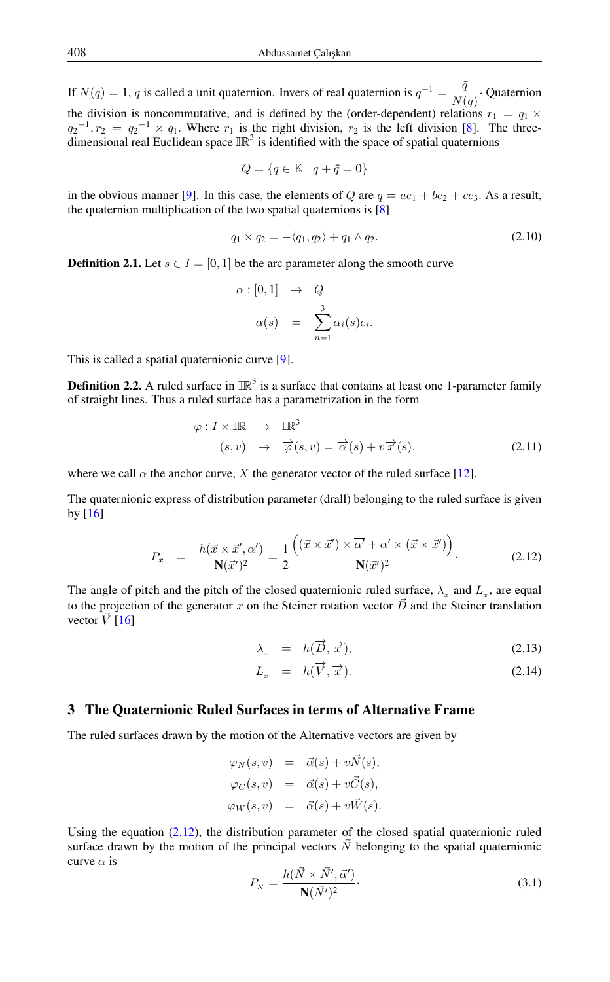If  $N(q) = 1$ , q is called a unit quaternion. Invers of real quaternion is  $q^{-1} = \frac{\bar{q}}{N}$  $\frac{1}{N(q)}$  Quaternion the division is noncommutative, and is defined by the (order-dependent) relations  $r_1 = q_1 \times$  $q_2^{-1}, r_2 = q_2^{-1} \times q_1$ . Where  $r_1$  is the right division,  $r_2$  is the left division [\[8\]](#page-6-18). The threedimensional real Euclidean space  $\mathbb{IR}^3$  is identified with the space of spatial quaternions

$$
Q = \{q \in \mathbb{K} \mid q + \bar{q} = 0\}
$$

in the obvious manner [\[9\]](#page-6-8). In this case, the elements of Q are  $q = ae_1 + be_2 + ce_3$ . As a result, the quaternion multiplication of the two spatial quaternions is  $[8]$ 

$$
q_1 \times q_2 = -\langle q_1, q_2 \rangle + q_1 \wedge q_2. \tag{2.10}
$$

**Definition 2.1.** Let  $s \in I = [0, 1]$  be the arc parameter along the smooth curve

$$
\alpha : [0, 1] \rightarrow Q
$$
  

$$
\alpha(s) = \sum_{n=1}^{3} \alpha_i(s) e_i
$$

This is called a spatial quaternionic curve [\[9\]](#page-6-8).

**Definition 2.2.** A ruled surface in  $\mathbb{IR}^3$  is a surface that contains at least one 1-parameter family of straight lines. Thus a ruled surface has a parametrization in the form

$$
\varphi: I \times \mathbb{IR} \to \mathbb{IR}^3
$$
  
(s, v) 
$$
\to \overrightarrow{\varphi}(s, v) = \overrightarrow{\alpha}(s) + v \overrightarrow{x}(s).
$$
 (2.11)

.

where we call  $\alpha$  the anchor curve, X the generator vector of the ruled surface [\[12\]](#page-6-14).

The quaternionic express of distribution parameter (drall) belonging to the ruled surface is given by  $[16]$ 

<span id="page-2-0"></span>
$$
P_x = \frac{h(\vec{x} \times \vec{x}', \alpha')}{\mathbf{N}(\vec{x}')^2} = \frac{1}{2} \frac{\left( (\vec{x} \times \vec{x}') \times \overline{\alpha'} + \alpha' \times (\overline{\vec{x} \times \vec{x}')}\right)}{\mathbf{N}(\vec{x}')^2}.
$$
(2.12)

The angle of pitch and the pitch of the closed quaternionic ruled surface,  $\lambda_x$  and  $L_x$ , are equal to the projection of the generator x on the Steiner rotation vector  $\vec{D}$  and the Steiner translation vector  $\vec{V}$  [\[16\]](#page-6-11)

<span id="page-2-2"></span>
$$
\lambda_x = h(\overrightarrow{D}, \overrightarrow{x}), \qquad (2.13)
$$

$$
L_x = h(\overrightarrow{V}, \overrightarrow{x}). \tag{2.14}
$$

### 3 The Quaternionic Ruled Surfaces in terms of Alternative Frame

The ruled surfaces drawn by the motion of the Alternative vectors are given by

$$
\varphi_N(s, v) = \vec{\alpha}(s) + v\vec{N}(s),
$$
  
\n
$$
\varphi_C(s, v) = \vec{\alpha}(s) + v\vec{C}(s),
$$
  
\n
$$
\varphi_W(s, v) = \vec{\alpha}(s) + v\vec{W}(s).
$$

<span id="page-2-1"></span>Using the equation  $(2.12)$ , the distribution parameter of the closed spatial quaternionic ruled surface drawn by the motion of the principal vectors  $\vec{N}$  belonging to the spatial quaternionic curve  $\alpha$  is

$$
P_N = \frac{h(\vec{N} \times \vec{N}', \vec{\alpha}')}{\mathbf{N}(\vec{N}')^2}.
$$
\n(3.1)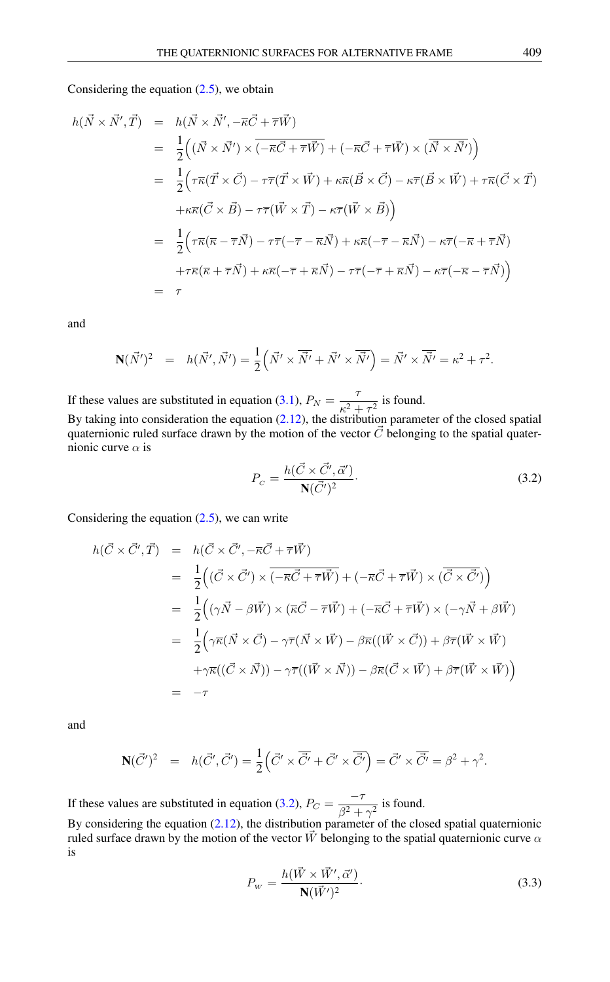Considering the equation  $(2.5)$ , we obtain

$$
h(\vec{N} \times \vec{N}', \vec{T}) = h(\vec{N} \times \vec{N}', -\overline{\kappa}\vec{C} + \overline{\tau}\vec{W})
$$
  
\n
$$
= \frac{1}{2} ((\vec{N} \times \vec{N}') \times (\overline{-\kappa}\vec{C} + \overline{\tau}\vec{W}) + (-\overline{\kappa}\vec{C} + \overline{\tau}\vec{W}) \times (\overline{N} \times \vec{N}') )
$$
  
\n
$$
= \frac{1}{2} (\tau \overline{\kappa}(\vec{T} \times \vec{C}) - \tau \overline{\tau}(\vec{T} \times \vec{W}) + \kappa \overline{\kappa}(\vec{B} \times \vec{C}) - \kappa \overline{\tau}(\vec{B} \times \vec{W}) + \tau \overline{\kappa}(\vec{C} \times \vec{T})
$$
  
\n
$$
+ \kappa \overline{\kappa}(\vec{C} \times \vec{B}) - \tau \overline{\tau}(\vec{W} \times \vec{T}) - \kappa \overline{\tau}(\vec{W} \times \vec{B}) )
$$
  
\n
$$
= \frac{1}{2} (\tau \overline{\kappa}(\overline{\kappa} - \overline{\tau}\vec{N}) - \tau \overline{\tau}(-\overline{\tau} - \overline{\kappa}\vec{N}) + \kappa \overline{\kappa}(-\overline{\tau} - \overline{\kappa}\vec{N}) - \kappa \overline{\tau}(-\overline{\kappa} + \overline{\tau}\vec{N})
$$
  
\n
$$
+ \tau \overline{\kappa}(\overline{\kappa} + \overline{\tau}\vec{N}) + \kappa \overline{\kappa}(-\overline{\tau} + \overline{\kappa}\vec{N}) - \tau \overline{\tau}(-\overline{\tau} + \overline{\kappa}\vec{N}) - \kappa \overline{\tau}(-\overline{\kappa} - \overline{\tau}\vec{N}) )
$$
  
\n
$$
= \tau
$$

and

$$
\mathbf{N}(\vec{N}')^2 = h(\vec{N}', \vec{N}') = \frac{1}{2} \left( \vec{N}' \times \overline{\vec{N}'} + \vec{N}' \times \overline{\vec{N}'} \right) = \vec{N}' \times \overline{\vec{N}'} = \kappa^2 + \tau^2.
$$

If these values are substituted in equation [\(3.1\)](#page-2-1),  $P_N = \frac{7}{2}$  $\frac{1}{\kappa^2 + \tau^2}$  is found.

<span id="page-3-0"></span>By taking into consideration the equation [\(2.12\)](#page-2-0), the distribution parameter of the closed spatial quaternionic ruled surface drawn by the motion of the vector  $\vec{C}$  belonging to the spatial quaternionic curve  $\alpha$  is

$$
P_C = \frac{h(\vec{C} \times \vec{C}', \vec{\alpha}')}{N(\vec{C}')^2}.
$$
\n(3.2)

Considering the equation  $(2.5)$ , we can write

$$
h(\vec{C} \times \vec{C}', \vec{T}) = h(\vec{C} \times \vec{C}', -\vec{\kappa}\vec{C} + \vec{\tau}\vec{W})
$$
  
\n
$$
= \frac{1}{2} \Big( (\vec{C} \times \vec{C}') \times \overline{(-\vec{\kappa}\vec{C} + \vec{\tau}\vec{W})} + (-\vec{\kappa}\vec{C} + \vec{\tau}\vec{W}) \times (\overline{\vec{C} \times \vec{C}'}) \Big)
$$
  
\n
$$
= \frac{1}{2} \Big( (\gamma \vec{N} - \beta \vec{W}) \times (\overline{\kappa}\vec{C} - \vec{\tau}\vec{W}) + (-\overline{\kappa}\vec{C} + \vec{\tau}\vec{W}) \times (-\gamma \vec{N} + \beta \vec{W})
$$
  
\n
$$
= \frac{1}{2} \Big( \gamma \overline{\kappa} (\vec{N} \times \vec{C}) - \gamma \overline{\tau} (\vec{N} \times \vec{W}) - \beta \overline{\kappa} ((\vec{W} \times \vec{C})) + \beta \overline{\tau} (\vec{W} \times \vec{W})
$$
  
\n
$$
+ \gamma \overline{\kappa} ((\vec{C} \times \vec{N})) - \gamma \overline{\tau} ((\vec{W} \times \vec{N})) - \beta \overline{\kappa} (\vec{C} \times \vec{W}) + \beta \overline{\tau} (\vec{W} \times \vec{W}) \Big)
$$
  
\n
$$
= -\tau
$$

and

$$
\mathbf{N}(\vec{C}')^2 = h(\vec{C}', \vec{C}') = \frac{1}{2} \left( \vec{C}' \times \overline{\vec{C}'} + \vec{C}' \times \overline{\vec{C}'} \right) = \vec{C}' \times \overline{\vec{C}'} = \beta^2 + \gamma^2.
$$

If these values are substituted in equation [\(3.2\)](#page-3-0),  $P_C = \frac{-\tau}{\sigma^2}$  $\frac{1}{\beta^2 + \gamma^2}$  is found.

<span id="page-3-1"></span>By considering the equation  $(2.12)$ , the distribution parameter of the closed spatial quaternionic ruled surface drawn by the motion of the vector  $\vec{W}$  belonging to the spatial quaternionic curve  $\alpha$ is

$$
P_{\rm w} = \frac{h(\vec{W} \times \vec{W}', \vec{\alpha}')}{\mathbf{N}(\vec{W}')^2}.
$$
\n(3.3)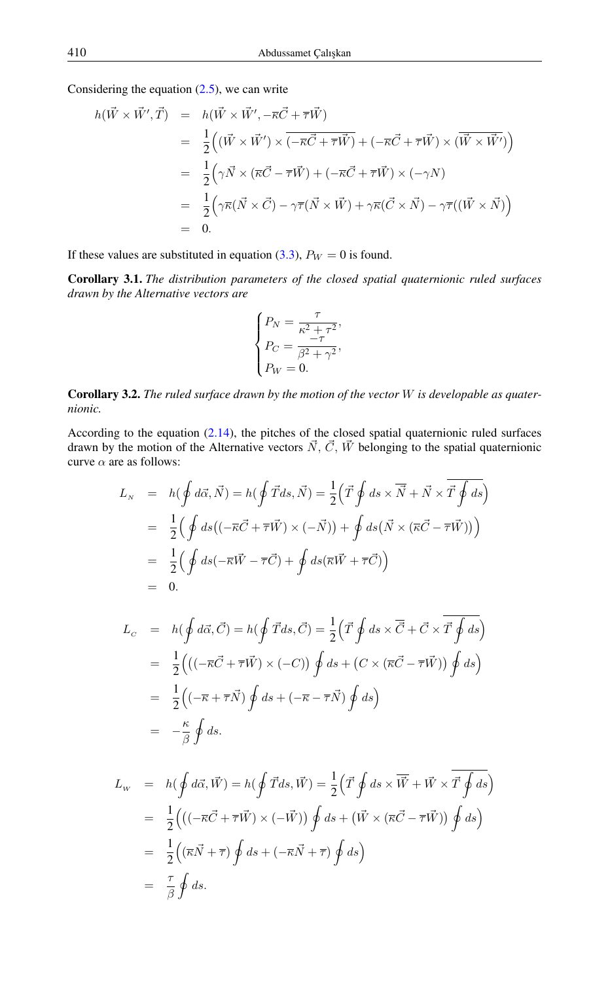Considering the equation  $(2.5)$ , we can write

$$
h(\vec{W} \times \vec{W}', \vec{T}) = h(\vec{W} \times \vec{W}', -\vec{\kappa}\vec{C} + \vec{\tau}\vec{W})
$$
  
\n
$$
= \frac{1}{2} ((\vec{W} \times \vec{W}') \times (-\vec{\kappa}\vec{C} + \vec{\tau}\vec{W}) + (-\vec{\kappa}\vec{C} + \vec{\tau}\vec{W}) \times (\vec{W} \times \vec{W}') )
$$
  
\n
$$
= \frac{1}{2} (\gamma \vec{N} \times (\vec{\kappa}\vec{C} - \vec{\tau}\vec{W}) + (-\vec{\kappa}\vec{C} + \vec{\tau}\vec{W}) \times (-\gamma N)
$$
  
\n
$$
= \frac{1}{2} (\gamma \vec{\kappa}(\vec{N} \times \vec{C}) - \gamma \vec{\tau}(\vec{N} \times \vec{W}) + \gamma \vec{\kappa}(\vec{C} \times \vec{N}) - \gamma \vec{\tau}((\vec{W} \times \vec{N})) )
$$
  
\n
$$
= 0.
$$

If these values are substituted in equation [\(3.3\)](#page-3-1),  $P_W = 0$  is found.

Corollary 3.1. *The distribution parameters of the closed spatial quaternionic ruled surfaces drawn by the Alternative vectors are*

$$
\begin{cases} P_N = \frac{\tau}{\kappa^2 + \tau^2}, \\ P_C = \frac{-\tau}{\beta^2 + \gamma^2}, \\ P_W = 0. \end{cases}
$$

Corollary 3.2. *The ruled surface drawn by the motion of the vector* W *is developable as quaternionic.*

According to the equation [\(2.14\)](#page-2-2), the pitches of the closed spatial quaternionic ruled surfaces drawn by the motion of the Alternative vectors  $\vec{N}$ ,  $\vec{C}$ ,  $\vec{W}$  belonging to the spatial quaternionic curve  $\alpha$  are as follows:

$$
L_N = h(\oint d\vec{\alpha}, \vec{N}) = h(\oint \vec{T} ds, \vec{N}) = \frac{1}{2} (\vec{T} \oint ds \times \vec{N} + \vec{N} \times \vec{T} \oint ds)
$$
  
\n
$$
= \frac{1}{2} (\oint ds ((-\vec{\kappa}\vec{C} + \vec{\tau}\vec{W}) \times (-\vec{N})) + \oint ds (\vec{N} \times (\vec{\kappa}\vec{C} - \vec{\tau}\vec{W})) )
$$
  
\n
$$
= \frac{1}{2} (\oint ds (-\vec{\kappa}\vec{W} - \vec{\tau}\vec{C}) + \oint ds (\vec{\kappa}\vec{W} + \vec{\tau}\vec{C}) )
$$
  
\n
$$
= 0.
$$

$$
L_C = h(\oint d\vec{\alpha}, \vec{C}) = h(\oint \vec{T} ds, \vec{C}) = \frac{1}{2} (\vec{T} \oint ds \times \vec{C} + \vec{C} \times \vec{T} \oint ds)
$$
  
\n
$$
= \frac{1}{2} \Big( ((-\vec{\kappa}\vec{C} + \vec{\tau}\vec{W}) \times (-C)) \oint ds + (C \times (\vec{\kappa}\vec{C} - \vec{\tau}\vec{W})) \oint ds \Big)
$$
  
\n
$$
= \frac{1}{2} ((-\vec{\kappa} + \vec{\tau}\vec{N}) \oint ds + (-\vec{\kappa} - \vec{\tau}\vec{N}) \oint ds)
$$
  
\n
$$
= -\frac{\kappa}{\beta} \oint ds.
$$

$$
L_{w} = h(\oint d\vec{\alpha}, \vec{W}) = h(\oint \vec{T}ds, \vec{W}) = \frac{1}{2} (\vec{T} \oint ds \times \overline{\vec{W}} + \vec{W} \times \overline{\vec{T} \oint ds})
$$
  
\n
$$
= \frac{1}{2} (((-\overline{\kappa}\vec{C} + \overline{\tau}\vec{W}) \times (-\vec{W})) \oint ds + (\vec{W} \times (\overline{\kappa}\vec{C} - \overline{\tau}\vec{W})) \oint ds)
$$
  
\n
$$
= \frac{1}{2} ((\overline{\kappa}\vec{N} + \overline{\tau}) \oint ds + (-\overline{\kappa}\vec{N} + \overline{\tau}) \oint ds)
$$
  
\n
$$
= \frac{\tau}{\beta} \oint ds.
$$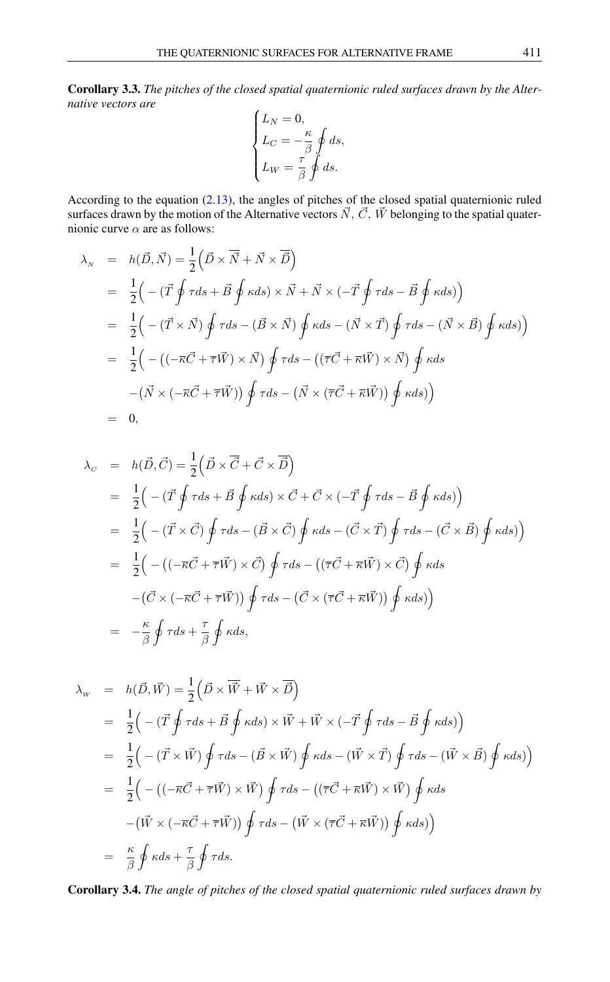Corollary 3.3. *The pitches of the closed spatial quaternionic ruled surfaces drawn by the Alternative vectors are*  $\overline{\phantom{a}}$ 

$$
\begin{cases}\nL_N = 0, \\
L_C = -\frac{\kappa}{\beta} \oint ds, \\
L_W = \frac{\tau}{\beta} \oint ds.\n\end{cases}
$$

According to the equation [\(2.13\)](#page-2-2), the angles of pitches of the closed spatial quaternionic ruled surfaces drawn by the motion of the Alternative vectors  $\vec{N}$ ,  $\vec{C}$ ,  $\vec{W}$  belonging to the spatial quaternionic curve  $\alpha$  are as follows:

$$
\lambda_{N} = h(\vec{D}, \vec{N}) = \frac{1}{2} (\vec{D} \times \vec{N} + \vec{N} \times \vec{D})
$$
  
\n
$$
= \frac{1}{2} (- (\vec{T} \oint \tau ds + \vec{B} \oint \kappa ds) \times \vec{N} + \vec{N} \times (-\vec{T} \oint \tau ds - \vec{B} \oint \kappa ds))
$$
  
\n
$$
= \frac{1}{2} (- (\vec{T} \times \vec{N}) \oint \tau ds - (\vec{B} \times \vec{N}) \oint \kappa ds - (\vec{N} \times \vec{T}) \oint \tau ds - (\vec{N} \times \vec{B}) \oint \kappa ds))
$$
  
\n
$$
= \frac{1}{2} (- ((-\vec{K}\vec{C} + \vec{\tau}\vec{W}) \times \vec{N}) \oint \tau ds - ((\vec{\tau}\vec{C} + \vec{\kappa}\vec{W}) \times \vec{N}) \oint \kappa ds)
$$
  
\n
$$
- (\vec{N} \times (-\vec{\kappa}\vec{C} + \vec{\tau}\vec{W})) \oint \tau ds - (\vec{N} \times (\vec{\tau}\vec{C} + \vec{\kappa}\vec{W})) \oint \kappa ds))
$$
  
\n
$$
= 0,
$$

$$
\lambda_C = h(\vec{D}, \vec{C}) = \frac{1}{2} (\vec{D} \times \vec{C} + \vec{C} \times \vec{D})
$$
  
\n
$$
= \frac{1}{2} \Big( -(\vec{T} \oint \tau ds + \vec{B} \oint \kappa ds) \times \vec{C} + \vec{C} \times (-\vec{T} \oint \tau ds - \vec{B} \oint \kappa ds) \Big)
$$
  
\n
$$
= \frac{1}{2} \Big( -(\vec{T} \times \vec{C}) \oint \tau ds - (\vec{B} \times \vec{C}) \oint \kappa ds - (\vec{C} \times \vec{T}) \oint \tau ds - (\vec{C} \times \vec{B}) \oint \kappa ds) \Big)
$$
  
\n
$$
= \frac{1}{2} \Big( -((-\vec{\kappa}\vec{C} + \vec{\tau}\vec{W}) \times \vec{C}) \oint \tau ds - ((\vec{\tau}\vec{C} + \vec{\kappa}\vec{W}) \times \vec{C}) \oint \kappa ds
$$
  
\n
$$
- (\vec{C} \times (-\vec{\kappa}\vec{C} + \vec{\tau}\vec{W})) \oint \tau ds - (\vec{C} \times (\vec{\tau}\vec{C} + \vec{\kappa}\vec{W})) \oint \kappa ds) \Big)
$$
  
\n
$$
= -\frac{\kappa}{\beta} \oint \tau ds + \frac{\tau}{\beta} \oint \kappa ds,
$$

$$
\lambda_{w} = h(\vec{D}, \vec{W}) = \frac{1}{2} (\vec{D} \times \vec{W} + \vec{W} \times \vec{D})
$$
  
\n
$$
= \frac{1}{2} \Big( -(\vec{T} \oint \tau ds + \vec{B} \oint \kappa ds) \times \vec{W} + \vec{W} \times (-\vec{T} \oint \tau ds - \vec{B} \oint \kappa ds) \Big)
$$
  
\n
$$
= \frac{1}{2} \Big( -(\vec{T} \times \vec{W}) \oint \tau ds - (\vec{B} \times \vec{W}) \oint \kappa ds - (\vec{W} \times \vec{T}) \oint \tau ds - (\vec{W} \times \vec{B}) \oint \kappa ds) \Big)
$$
  
\n
$$
= \frac{1}{2} \Big( -((-\vec{\kappa}\vec{C} + \vec{\tau}\vec{W}) \times \vec{W}) \oint \tau ds - ((\vec{\tau}\vec{C} + \vec{\kappa}\vec{W}) \times \vec{W}) \oint \kappa ds
$$
  
\n
$$
- (\vec{W} \times (-\vec{\kappa}\vec{C} + \vec{\tau}\vec{W})) \oint \tau ds - (\vec{W} \times (\vec{\tau}\vec{C} + \vec{\kappa}\vec{W})) \oint \kappa ds) \Big)
$$
  
\n
$$
= \frac{\kappa}{\beta} \oint \kappa ds + \frac{\tau}{\beta} \oint \tau ds.
$$

Corollary 3.4. *The angle of pitches of the closed spatial quaternionic ruled surfaces drawn by*